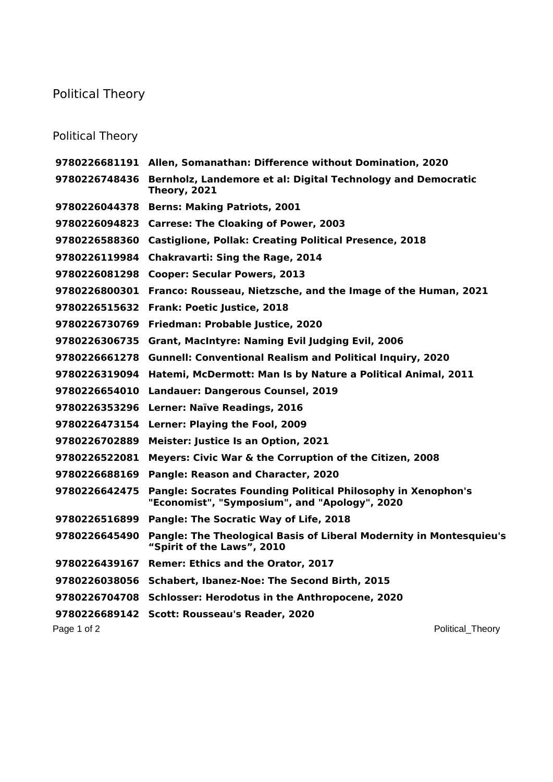## Political Theory

## Political Theory

|               | 9780226681191 Allen, Somanathan: Difference without Domination, 2020                                                 |
|---------------|----------------------------------------------------------------------------------------------------------------------|
| 9780226748436 | Bernholz, Landemore et al: Digital Technology and Democratic<br><b>Theory, 2021</b>                                  |
| 9780226044378 | <b>Berns: Making Patriots, 2001</b>                                                                                  |
|               | 9780226094823 Carrese: The Cloaking of Power, 2003                                                                   |
| 9780226588360 | <b>Castiglione, Pollak: Creating Political Presence, 2018</b>                                                        |
| 9780226119984 | <b>Chakravarti: Sing the Rage, 2014</b>                                                                              |
| 9780226081298 | <b>Cooper: Secular Powers, 2013</b>                                                                                  |
| 9780226800301 | Franco: Rousseau, Nietzsche, and the Image of the Human, 2021                                                        |
| 9780226515632 | Frank: Poetic Justice, 2018                                                                                          |
| 9780226730769 | Friedman: Probable Justice, 2020                                                                                     |
| 9780226306735 | Grant, MacIntyre: Naming Evil Judging Evil, 2006                                                                     |
| 9780226661278 | <b>Gunnell: Conventional Realism and Political Inquiry, 2020</b>                                                     |
| 9780226319094 | Hatemi, McDermott: Man Is by Nature a Political Animal, 2011                                                         |
| 9780226654010 | <b>Landauer: Dangerous Counsel, 2019</b>                                                                             |
| 9780226353296 | Lerner: Naïve Readings, 2016                                                                                         |
| 9780226473154 | Lerner: Playing the Fool, 2009                                                                                       |
| 9780226702889 | <b>Meister: Justice Is an Option, 2021</b>                                                                           |
| 9780226522081 | Meyers: Civic War & the Corruption of the Citizen, 2008                                                              |
| 9780226688169 | Pangle: Reason and Character, 2020                                                                                   |
| 9780226642475 | <b>Pangle: Socrates Founding Political Philosophy in Xenophon's</b><br>"Economist", "Symposium", and "Apology", 2020 |
| 9780226516899 | Pangle: The Socratic Way of Life, 2018                                                                               |
| 9780226645490 | Pangle: The Theological Basis of Liberal Modernity in Montesquieu's<br>"Spirit of the Laws", 2010                    |
| 9780226439167 | Remer: Ethics and the Orator, 2017                                                                                   |
| 9780226038056 | Schabert, Ibanez-Noe: The Second Birth, 2015                                                                         |
| 9780226704708 | <b>Schlosser: Herodotus in the Anthropocene, 2020</b>                                                                |
|               | 9780226689142 Scott: Rousseau's Reader, 2020                                                                         |
| Page 1 of 2   | Political Theory                                                                                                     |